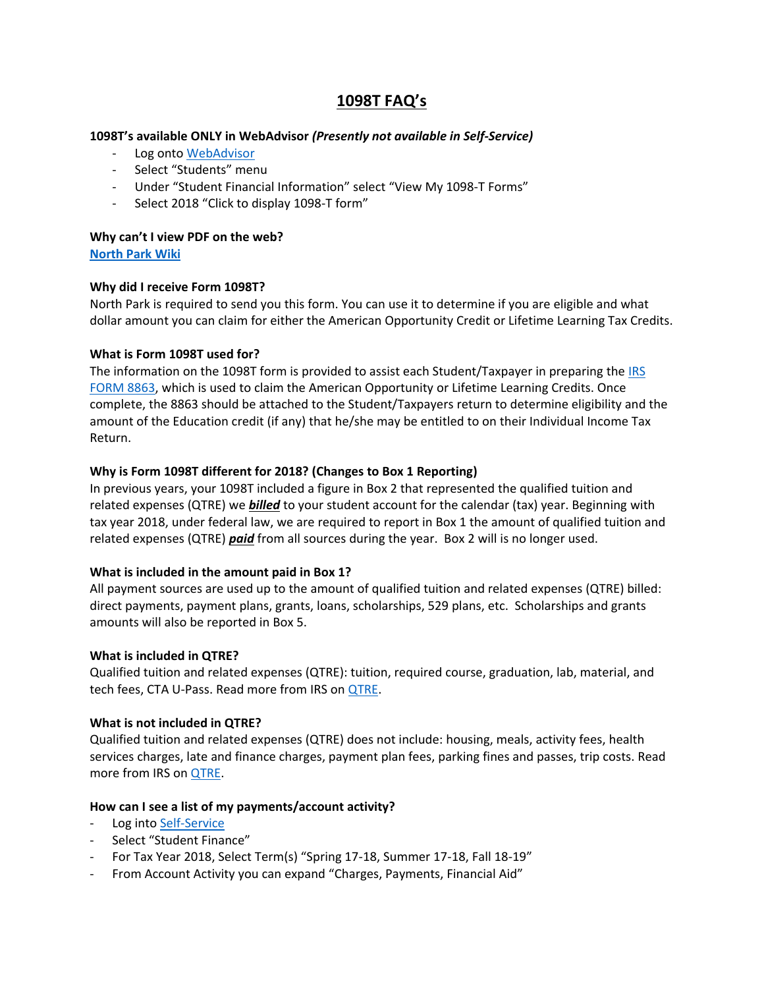# **1098T FAQ's**

## **1098T's available ONLY in WebAdvisor** *(Presently not available in Self-Service)*

- Log onto [WebAdvisor](https://webadvisor.northpark.edu/WebAdvisor/)
- Select "Students" menu
- Under "Student Financial Information" select "View My 1098-T Forms"
- Select 2018 "Click to display 1098-T form"

## **Why can't I view PDF on the web?**

**[North Park Wiki](https://wiki.northpark.edu:8447/pages/viewpage.action?pageId=46563653)**

## **Why did I receive Form 1098T?**

North Park is required to send you this form. You can use it to determine if you are eligible and what dollar amount you can claim for either the American Opportunity Credit or Lifetime Learning Tax Credits.

## **What is Form 1098T used for?**

The information on the 1098T form is provided to assist each Student/Taxpayer in preparing th[e IRS](http://www.irs.gov/pub/irs-pdf/f8863.pdf)  [FORM 8863,](http://www.irs.gov/pub/irs-pdf/f8863.pdf) which is used to claim the American Opportunity or Lifetime Learning Credits. Once complete, the 8863 should be attached to the Student/Taxpayers return to determine eligibility and the amount of the Education credit (if any) that he/she may be entitled to on their Individual Income Tax Return.

## **Why is Form 1098T different for 2018? (Changes to Box 1 Reporting)**

In previous years, your 1098T included a figure in Box 2 that represented the qualified tuition and related expenses (QTRE) we *billed* to your student account for the calendar (tax) year. Beginning with tax year 2018, under federal law, we are required to report in Box 1 the amount of qualified tuition and related expenses (QTRE) *paid* from all sources during the year. Box 2 will is no longer used.

## **What is included in the amount paid in Box 1?**

All payment sources are used up to the amount of qualified tuition and related expenses (QTRE) billed: direct payments, payment plans, grants, loans, scholarships, 529 plans, etc. Scholarships and grants amounts will also be reported in Box 5.

## **What is included in QTRE?**

Qualified tuition and related expenses (QTRE): tuition, required course, graduation, lab, material, and tech fees, CTA U-Pass. Read more from IRS on **QTRE**.

## **What is not included in QTRE?**

Qualified tuition and related expenses (QTRE) does not include: housing, meals, activity fees, health services charges, late and finance charges, payment plan fees, parking fines and passes, trip costs. Read more from IRS on [QTRE.](https://www.irs.gov/credits-deductions/individuals/qualified-ed-expenses)

## **How can I see a list of my payments/account activity?**

- Log into [Self-Service](http://www.northpark.edu/selfservice)
- Select "Student Finance"
- For Tax Year 2018, Select Term(s) "Spring 17-18, Summer 17-18, Fall 18-19"
- From Account Activity you can expand "Charges, Payments, Financial Aid"